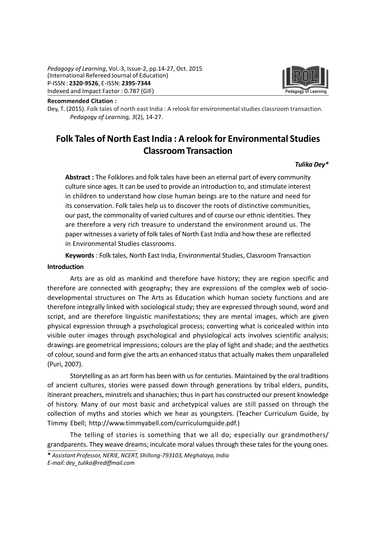

Recommended Citation :

Dey, T. (2015). Folk tales of north east India : A relook for environmental studies classroom transaction. Pedagogy of Learning, 3(2), 14-27.

# Folk Tales of North East India : A relook for Environmental Studies Classroom Transaction

# Tulika Dey\*

Abstract : The Folklores and folk tales have been an eternal part of every community culture since ages. It can be used to provide an introduction to, and stimulate interest in children to understand how close human beings are to the nature and need for its conservation. Folk tales help us to discover the roots of distinctive communities, our past, the commonality of varied cultures and of course our ethnic identities. They are therefore a very rich treasure to understand the environment around us. The paper witnesses a variety of folk tales of North East India and how these are reflected in Environmental Studies classrooms.

Keywords : Folk tales, North East India, Environmental Studies, Classroom Transaction

#### Introduction

Arts are as old as mankind and therefore have history; they are region specific and therefore are connected with geography; they are expressions of the complex web of sociodevelopmental structures on The Arts as Education which human society functions and are therefore integrally linked with sociological study; they are expressed through sound, word and script, and are therefore linguistic manifestations; they are mental images, which are given physical expression through a psychological process; converting what is concealed within into visible outer images through psychological and physiological acts involves scientific analysis; drawings are geometrical impressions; colours are the play of light and shade; and the aesthetics of colour, sound and form give the arts an enhanced status that actually makes them unparalleled (Puri, 2007).

Storytelling as an art form has been with us for centuries. Maintained by the oral traditions of ancient cultures, stories were passed down through generations by tribal elders, pundits, itinerant preachers, minstrels and shanachies; thus in part has constructed our present knowledge of history. Many of our most basic and archetypical values are still passed on through the collection of myths and stories which we hear as youngsters. (Teacher Curriculum Guide, by Timmy Ebell; http://www.timmyabell.com/curriculumguide.pdf.)

The telling of stories is something that we all do; especially our grandmothers/ grandparents. They weave dreams; inculcate moral values through these tales for the young ones.

\* Assistant Professor, NERIE, NCERT, Shillong-793103, Meghalaya, India E-mail: dey\_tulika@rediffmail.com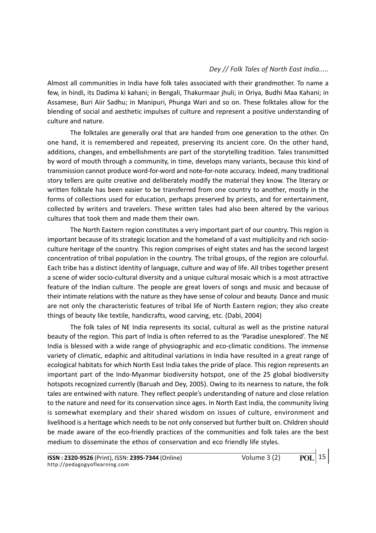Almost all communities in India have folk tales associated with their grandmother. To name a few, in hindi, its Dadima ki kahani; in Bengali, Thakurmaar jhuli; in Oriya, Budhi Maa Kahani; in Assamese, Buri Aiir Sadhu; in Manipuri, Phunga Wari and so on. These folktales allow for the blending of social and aesthetic impulses of culture and represent a positive understanding of culture and nature.

The folktales are generally oral that are handed from one generation to the other. On one hand, it is remembered and repeated, preserving its ancient core. On the other hand, additions, changes, and embellishments are part of the storytelling tradition. Tales transmitted by word of mouth through a community, in time, develops many variants, because this kind of transmission cannot produce word-for-word and note-for-note accuracy. Indeed, many traditional story tellers are quite creative and deliberately modify the material they know. The literary or written folktale has been easier to be transferred from one country to another, mostly in the forms of collections used for education, perhaps preserved by priests, and for entertainment, collected by writers and travelers. These written tales had also been altered by the various cultures that took them and made them their own.

The North Eastern region constitutes a very important part of our country. This region is important because of its strategic location and the homeland of a vast multiplicity and rich socioculture heritage of the country. This region comprises of eight states and has the second largest concentration of tribal population in the country. The tribal groups, of the region are colourful. Each tribe has a distinct identity of language, culture and way of life. All tribes together present a scene of wider socio-cultural diversity and a unique cultural mosaic which is a most attractive feature of the Indian culture. The people are great lovers of songs and music and because of their intimate relations with the nature as they have sense of colour and beauty. Dance and music are not only the characteristic features of tribal life of North Eastern region; they also create things of beauty like textile, handicrafts, wood carving, etc. (Dabi, 2004)

The folk tales of NE India represents its social, cultural as well as the pristine natural beauty of the region. This part of India is often referred to as the 'Paradise unexplored'. The NE India is blessed with a wide range of physiographic and eco-climatic conditions. The immense variety of climatic, edaphic and altitudinal variations in India have resulted in a great range of ecological habitats for which North East India takes the pride of place. This region represents an important part of the Indo-Myanmar biodiversity hotspot, one of the 25 global biodiversity hotspots recognized currently (Baruah and Dey, 2005). Owing to its nearness to nature, the folk tales are entwined with nature. They reflect people's understanding of nature and close relation to the nature and need for its conservation since ages. In North East India, the community living is somewhat exemplary and their shared wisdom on issues of culture, environment and livelihood is a heritage which needs to be not only conserved but further built on. Children should be made aware of the eco-friendly practices of the communities and folk tales are the best medium to disseminate the ethos of conservation and eco friendly life styles.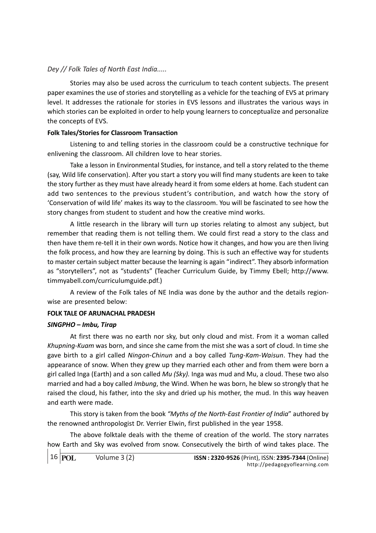Stories may also be used across the curriculum to teach content subjects. The present paper examines the use of stories and storytelling as a vehicle for the teaching of EVS at primary level. It addresses the rationale for stories in EVS lessons and illustrates the various ways in which stories can be exploited in order to help young learners to conceptualize and personalize the concepts of EVS.

### Folk Tales/Stories for Classroom Transaction

Listening to and telling stories in the classroom could be a constructive technique for enlivening the classroom. All children love to hear stories.

Take a lesson in Environmental Studies, for instance, and tell a story related to the theme (say, Wild life conservation). After you start a story you will find many students are keen to take the story further as they must have already heard it from some elders at home. Each student can add two sentences to the previous student's contribution, and watch how the story of 'Conservation of wild life' makes its way to the classroom. You will be fascinated to see how the story changes from student to student and how the creative mind works.

A little research in the library will turn up stories relating to almost any subject, but remember that reading them is not telling them. We could first read a story to the class and then have them re-tell it in their own words. Notice how it changes, and how you are then living the folk process, and how they are learning by doing. This is such an effective way for students to master certain subject matter because the learning is again "indirect". They absorb information as "storytellers", not as "students" (Teacher Curriculum Guide, by Timmy Ebell; http://www. timmyabell.com/curriculumguide.pdf.)

A review of the Folk tales of NE India was done by the author and the details regionwise are presented below:

# FOLK TALE OF ARUNACHAL PRADESH

#### SINGPHO – Imbu, Tirap

At first there was no earth nor sky, but only cloud and mist. From it a woman called Khupning-Kuam was born, and since she came from the mist she was a sort of cloud. In time she gave birth to a girl called Ningon-Chinun and a boy called Tung-Kam-Waisun. They had the appearance of snow. When they grew up they married each other and from them were born a girl called Inga (Earth) and a son called  $Mu$  (Sky). Inga was mud and Mu, a cloud. These two also married and had a boy called Imbung, the Wind. When he was born, he blew so strongly that he raised the cloud, his father, into the sky and dried up his mother, the mud. In this way heaven and earth were made.

This story is taken from the book "Myths of the North-East Frontier of India" authored by the renowned anthropologist Dr. Verrier Elwin, first published in the year 1958.

The above folktale deals with the theme of creation of the world. The story narrates how Earth and Sky was evolved from snow. Consecutively the birth of wind takes place. The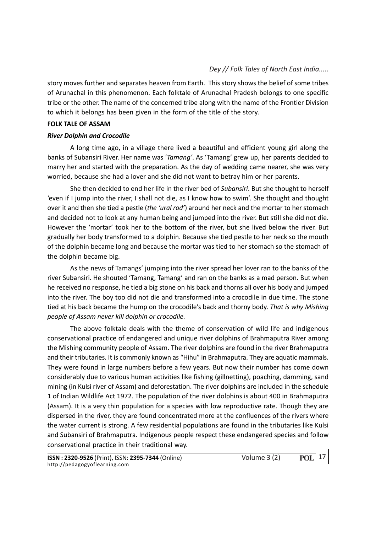story moves further and separates heaven from Earth. This story shows the belief of some tribes of Arunachal in this phenomenon. Each folktale of Arunachal Pradesh belongs to one specific tribe or the other. The name of the concerned tribe along with the name of the Frontier Division to which it belongs has been given in the form of the title of the story.

### FOLK TALE OF ASSAM

# River Dolphin and Crocodile

A long time ago, in a village there lived a beautiful and efficient young girl along the banks of Subansiri River. Her name was 'Tamang'. As 'Tamang' grew up, her parents decided to marry her and started with the preparation. As the day of wedding came nearer, she was very worried, because she had a lover and she did not want to betray him or her parents.

She then decided to end her life in the river bed of Subansiri. But she thought to herself 'even if I jump into the river, I shall not die, as I know how to swim'. She thought and thought over it and then she tied a pestle (the 'ural rod') around her neck and the mortar to her stomach and decided not to look at any human being and jumped into the river. But still she did not die. However the 'mortar' took her to the bottom of the river, but she lived below the river. But gradually her body transformed to a dolphin. Because she tied pestle to her neck so the mouth of the dolphin became long and because the mortar was tied to her stomach so the stomach of the dolphin became big.

As the news of Tamangs' jumping into the river spread her lover ran to the banks of the river Subansiri. He shouted 'Tamang, Tamang' and ran on the banks as a mad person. But when he received no response, he tied a big stone on his back and thorns all over his body and jumped into the river. The boy too did not die and transformed into a crocodile in due time. The stone tied at his back became the hump on the crocodile's back and thorny body. That is why Mishing people of Assam never kill dolphin or crocodile.

The above folktale deals with the theme of conservation of wild life and indigenous conservational practice of endangered and unique river dolphins of Brahmaputra River among the Mishing community people of Assam. The river dolphins are found in the river Brahmaputra and their tributaries. It is commonly known as "Hihu" in Brahmaputra. They are aquatic mammals. They were found in large numbers before a few years. But now their number has come down considerably due to various human activities like fishing (gillnetting), poaching, damming, sand mining (in Kulsi river of Assam) and deforestation. The river dolphins are included in the schedule 1 of Indian Wildlife Act 1972. The population of the river dolphins is about 400 in Brahmaputra (Assam). It is a very thin population for a species with low reproductive rate. Though they are dispersed in the river, they are found concentrated more at the confluences of the rivers where the water current is strong. A few residential populations are found in the tributaries like Kulsi and Subansiri of Brahmaputra. Indigenous people respect these endangered species and follow conservational practice in their traditional way.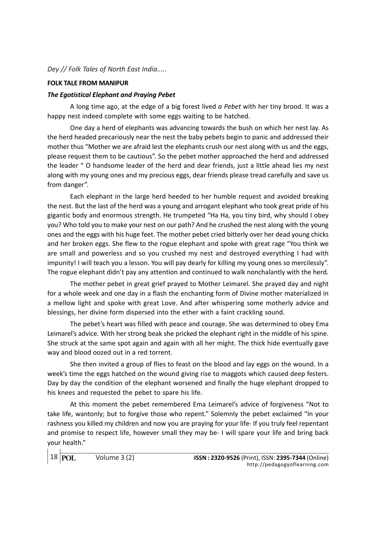### FOLK TALE FROM MANIPUR

### The Egotistical Elephant and Praying Pebet

A long time ago, at the edge of a big forest lived  $a$  Pebet with her tiny brood. It was a happy nest indeed complete with some eggs waiting to be hatched.

One day a herd of elephants was advancing towards the bush on which her nest lay. As the herd headed precariously near the nest the baby pebets begin to panic and addressed their mother thus "Mother we are afraid lest the elephants crush our nest along with us and the eggs, please request them to be cautious". So the pebet mother approached the herd and addressed the leader " O handsome leader of the herd and dear friends, just a little ahead lies my nest along with my young ones and my precious eggs, dear friends please tread carefully and save us from danger".

Each elephant in the large herd heeded to her humble request and avoided breaking the nest. But the last of the herd was a young and arrogant elephant who took great pride of his gigantic body and enormous strength. He trumpeted "Ha Ha, you tiny bird, why should I obey you? Who told you to make your nest on our path? And he crushed the nest along with the young ones and the eggs with his huge feet. The mother pebet cried bitterly over her dead young chicks and her broken eggs. She flew to the rogue elephant and spoke with great rage "You think we are small and powerless and so you crushed my nest and destroyed everything I had with impunity! I will teach you a lesson. You will pay dearly for killing my young ones so mercilessly". The rogue elephant didn't pay any attention and continued to walk nonchalantly with the herd.

The mother pebet in great grief prayed to Mother Leimarel. She prayed day and night for a whole week and one day in a flash the enchanting form of Divine mother materialized in a mellow light and spoke with great Love. And after whispering some motherly advice and blessings, her divine form dispersed into the ether with a faint crackling sound.

The pebet's heart was filled with peace and courage. She was determined to obey Ema Leimarel's advice. With her strong beak she pricked the elephant right in the middle of his spine. She struck at the same spot again and again with all her might. The thick hide eventually gave way and blood oozed out in a red torrent.

She then invited a group of flies to feast on the blood and lay eggs on the wound. In a week's time the eggs hatched on the wound giving rise to maggots which caused deep festers. Day by day the condition of the elephant worsened and finally the huge elephant dropped to his knees and requested the pebet to spare his life.

At this moment the pebet remembered Ema Leimarel's advice of forgiveness "Not to take life, wantonly; but to forgive those who repent." Solemnly the pebet exclaimed "In your rashness you killed my children and now you are praying for your life- If you truly feel repentant and promise to respect life, however small they may be- I will spare your life and bring back your health."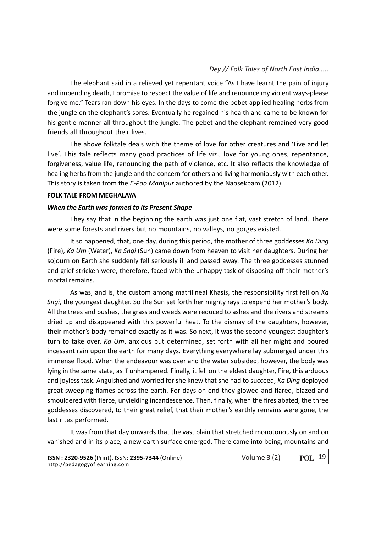The elephant said in a relieved yet repentant voice "As I have learnt the pain of injury and impending death, I promise to respect the value of life and renounce my violent ways-please forgive me." Tears ran down his eyes. In the days to come the pebet applied healing herbs from the jungle on the elephant's sores. Eventually he regained his health and came to be known for his gentle manner all throughout the jungle. The pebet and the elephant remained very good friends all throughout their lives.

The above folktale deals with the theme of love for other creatures and 'Live and let live'. This tale reflects many good practices of life viz., love for young ones, repentance, forgiveness, value life, renouncing the path of violence, etc. It also reflects the knowledge of healing herbs from the jungle and the concern for others and living harmoniously with each other. This story is taken from the E-Pao Manipur authored by the Naosekpam (2012).

# FOLK TALE FROM MEGHALAYA

# When the Earth was formed to its Present Shape

They say that in the beginning the earth was just one flat, vast stretch of land. There were some forests and rivers but no mountains, no valleys, no gorges existed.

It so happened, that, one day, during this period, the mother of three goddesses Ka Ding (Fire), Ka Um (Water), Ka Sngi (Sun) came down from heaven to visit her daughters. During her sojourn on Earth she suddenly fell seriously ill and passed away. The three goddesses stunned and grief stricken were, therefore, faced with the unhappy task of disposing off their mother's mortal remains.

As was, and is, the custom among matrilineal Khasis, the responsibility first fell on Ka Sngi, the youngest daughter. So the Sun set forth her mighty rays to expend her mother's body. All the trees and bushes, the grass and weeds were reduced to ashes and the rivers and streams dried up and disappeared with this powerful heat. To the dismay of the daughters, however, their mother's body remained exactly as it was. So next, it was the second youngest daughter's turn to take over. Ka Um, anxious but determined, set forth with all her might and poured incessant rain upon the earth for many days. Everything everywhere lay submerged under this immense flood. When the endeavour was over and the water subsided, however, the body was lying in the same state, as if unhampered. Finally, it fell on the eldest daughter, Fire, this arduous and joyless task. Anguished and worried for she knew that she had to succeed, Ka Ding deployed great sweeping flames across the earth. For days on end they glowed and flared, blazed and smouldered with fierce, unyielding incandescence. Then, finally, when the fires abated, the three goddesses discovered, to their great relief, that their mother's earthly remains were gone, the last rites performed.

It was from that day onwards that the vast plain that stretched monotonously on and on vanished and in its place, a new earth surface emerged. There came into being, mountains and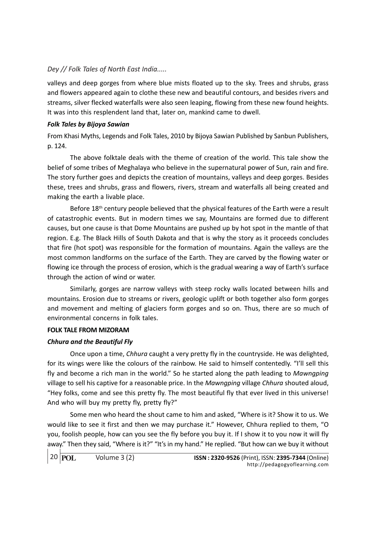valleys and deep gorges from where blue mists floated up to the sky. Trees and shrubs, grass and flowers appeared again to clothe these new and beautiful contours, and besides rivers and streams, silver flecked waterfalls were also seen leaping, flowing from these new found heights. It was into this resplendent land that, later on, mankind came to dwell.

# Folk Tales by Bijoya Sawian

From Khasi Myths, Legends and Folk Tales, 2010 by Bijoya Sawian Published by Sanbun Publishers, p. 124.

The above folktale deals with the theme of creation of the world. This tale show the belief of some tribes of Meghalaya who believe in the supernatural power of Sun, rain and fire. The story further goes and depicts the creation of mountains, valleys and deep gorges. Besides these, trees and shrubs, grass and flowers, rivers, stream and waterfalls all being created and making the earth a livable place.

Before  $18<sup>th</sup>$  century people believed that the physical features of the Earth were a result of catastrophic events. But in modern times we say, Mountains are formed due to different causes, but one cause is that Dome Mountains are pushed up by hot spot in the mantle of that region. E.g. The Black Hills of South Dakota and that is why the story as it proceeds concludes that fire (hot spot) was responsible for the formation of mountains. Again the valleys are the most common landforms on the surface of the Earth. They are carved by the flowing water or flowing ice through the process of erosion, which is the gradual wearing a way of Earth's surface through the action of wind or water.

Similarly, gorges are narrow valleys with steep rocky walls located between hills and mountains. Erosion due to streams or rivers, geologic uplift or both together also form gorges and movement and melting of glaciers form gorges and so on. Thus, there are so much of environmental concerns in folk tales.

# FOLK TALE FROM MIZORAM

# Chhura and the Beautiful Fly

Once upon a time, Chhura caught a very pretty fly in the countryside. He was delighted, for its wings were like the colours of the rainbow. He said to himself contentedly. "I'll sell this fly and become a rich man in the world." So he started along the path leading to Mawngping village to sell his captive for a reasonable price. In the Mawngping village Chhura shouted aloud, "Hey folks, come and see this pretty fly. The most beautiful fly that ever lived in this universe! And who will buy my pretty fly, pretty fly?"

Some men who heard the shout came to him and asked, "Where is it? Show it to us. We would like to see it first and then we may purchase it." However, Chhura replied to them, "O you, foolish people, how can you see the fly before you buy it. If I show it to you now it will fly away." Then they said, "Where is it?" "It's in my hand." He replied. "But how can we buy it without

```
20 POL
```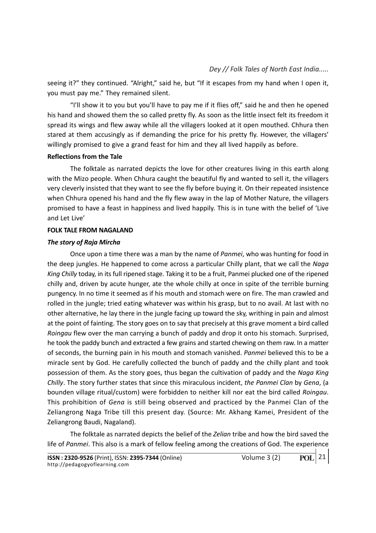seeing it?" they continued. "Alright," said he, but "If it escapes from my hand when I open it, you must pay me." They remained silent.

"I'll show it to you but you'll have to pay me if it flies off," said he and then he opened his hand and showed them the so called pretty fly. As soon as the little insect felt its freedom it spread its wings and flew away while all the villagers looked at it open mouthed. Chhura then stared at them accusingly as if demanding the price for his pretty fly. However, the villagers' willingly promised to give a grand feast for him and they all lived happily as before.

### Reflections from the Tale

The folktale as narrated depicts the love for other creatures living in this earth along with the Mizo people. When Chhura caught the beautiful fly and wanted to sell it, the villagers very cleverly insisted that they want to see the fly before buying it. On their repeated insistence when Chhura opened his hand and the fly flew away in the lap of Mother Nature, the villagers promised to have a feast in happiness and lived happily. This is in tune with the belief of 'Live and Let Live'

### FOLK TALE FROM NAGALAND

### The story of Raja Mircha

Once upon a time there was a man by the name of Panmei, who was hunting for food in the deep jungles. He happened to come across a particular Chilly plant, that we call the Naga King Chilly today, in its full ripened stage. Taking it to be a fruit, Panmei plucked one of the ripened chilly and, driven by acute hunger, ate the whole chilly at once in spite of the terrible burning pungency. In no time it seemed as if his mouth and stomach were on fire. The man crawled and rolled in the jungle; tried eating whatever was within his grasp, but to no avail. At last with no other alternative, he lay there in the jungle facing up toward the sky, writhing in pain and almost at the point of fainting. The story goes on to say that precisely at this grave moment a bird called Roingau flew over the man carrying a bunch of paddy and drop it onto his stomach. Surprised, he took the paddy bunch and extracted a few grains and started chewing on them raw. In a matter of seconds, the burning pain in his mouth and stomach vanished. Panmei believed this to be a miracle sent by God. He carefully collected the bunch of paddy and the chilly plant and took possession of them. As the story goes, thus began the cultivation of paddy and the Naga King Chilly. The story further states that since this miraculous incident, the Panmei Clan by Gena, (a bounden village ritual/custom) were forbidden to neither kill nor eat the bird called Roingau. This prohibition of Gena is still being observed and practiced by the Panmei Clan of the Zeliangrong Naga Tribe till this present day. (Source: Mr. Akhang Kamei, President of the Zeliangrong Baudi, Nagaland).

The folktale as narrated depicts the belief of the Zelian tribe and how the bird saved the life of Panmei. This also is a mark of fellow feeling among the creations of God. The experience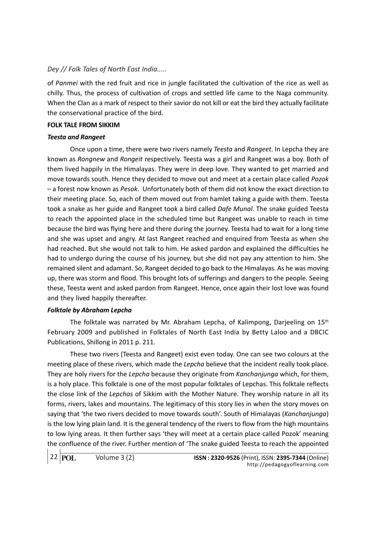of Panmei with the red fruit and rice in jungle facilitated the cultivation of the rice as well as chilly. Thus, the process of cultivation of crops and settled life came to the Naga community. When the Clan as a mark of respect to their savior do not kill or eat the bird they actually facilitate the conservational practice of the bird.

### FOLK TALE FROM SIKKIM

# Teesta and Rangeet

Once upon a time, there were two rivers namely Teesta and Rangeet. In Lepcha they are known as Rongnew and Rongeit respectively. Teesta was a girl and Rangeet was a boy. Both of them lived happily in the Himalayas. They were in deep love. They wanted to get married and move towards south. Hence they decided to move out and meet at a certain place called Pozok – a forest now known as Pesok. Unfortunately both of them did not know the exact direction to their meeting place. So, each of them moved out from hamlet taking a guide with them. Teesta took a snake as her guide and Rangeet took a bird called Dafe Munal. The snake guided Teesta to reach the appointed place in the scheduled time but Rangeet was unable to reach in time because the bird was flying here and there during the journey. Teesta had to wait for a long time and she was upset and angry. At last Rangeet reached and enquired from Teesta as when she had reached. But she would not talk to him. He asked pardon and explained the difficulties he had to undergo during the course of his journey, but she did not pay any attention to him. She remained silent and adamant. So, Rangeet decided to go back to the Himalayas. As he was moving up, there was storm and flood. This brought lots of sufferings and dangers to the people. Seeing these, Teesta went and asked pardon from Rangeet. Hence, once again their lost love was found and they lived happily thereafter.

# Folktale by Abraham Lepcha

The folktale was narrated by Mr. Abraham Lepcha, of Kalimpong, Darjeeling on 15th February 2009 and published in Folktales of North East India by Betty Laloo and a DBCIC Publications, Shillong in 2011 p. 211.

These two rivers (Teesta and Rangeet) exist even today. One can see two colours at the meeting place of these rivers, which made the Lepcha believe that the incident really took place. They are holy rivers for the Lepcha because they originate from Kanchanjunga which, for them, is a holy place. This folktale is one of the most popular folktales of Lepchas. This folktale reflects the close link of the Lepchas of Sikkim with the Mother Nature. They worship nature in all its forms, rivers, lakes and mountains. The legitimacy of this story lies in when the story moves on saying that 'the two rivers decided to move towards south'. South of Himalayas (Kanchanjunga) is the low lying plain land. It is the general tendency of the rivers to flow from the high mountains to low lying areas. It then further says 'they will meet at a certain place called Pozok' meaning the confluence of the river. Further mention of 'The snake guided Teesta to reach the appointed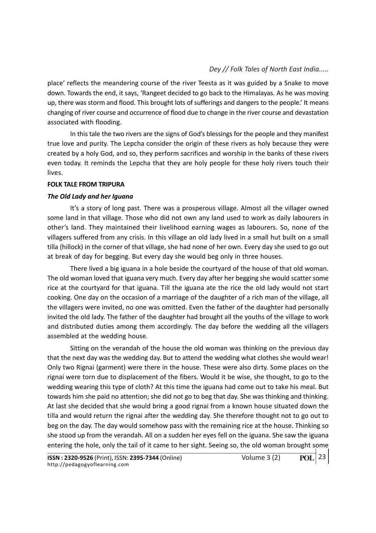place' reflects the meandering course of the river Teesta as it was guided by a Snake to move down. Towards the end, it says, 'Rangeet decided to go back to the Himalayas. As he was moving up, there was storm and flood. This brought lots of sufferings and dangers to the people.' It means changing of river course and occurrence of flood due to change in the river course and devastation associated with flooding.

In this tale the two rivers are the signs of God's blessings for the people and they manifest true love and purity. The Lepcha consider the origin of these rivers as holy because they were created by a holy God, and so, they perform sacrifices and worship in the banks of these rivers even today. It reminds the Lepcha that they are holy people for these holy rivers touch their lives.

### FOLK TALE FROM TRIPURA

# The Old Lady and her Iguana

It's a story of long past. There was a prosperous village. Almost all the villager owned some land in that village. Those who did not own any land used to work as daily labourers in other's land. They maintained their livelihood earning wages as labourers. So, none of the villagers suffered from any crisis. In this village an old lady lived in a small hut built on a small tilla (hillock) in the corner of that village, she had none of her own. Every day she used to go out at break of day for begging. But every day she would beg only in three houses.

There lived a big iguana in a hole beside the courtyard of the house of that old woman. The old woman loved that iguana very much. Every day after her begging she would scatter some rice at the courtyard for that iguana. Till the iguana ate the rice the old lady would not start cooking. One day on the occasion of a marriage of the daughter of a rich man of the village, all the villagers were invited, no one was omitted. Even the father of the daughter had personally invited the old lady. The father of the daughter had brought all the youths of the village to work and distributed duties among them accordingly. The day before the wedding all the villagers assembled at the wedding house.

Sitting on the verandah of the house the old woman was thinking on the previous day that the next day was the wedding day. But to attend the wedding what clothes she would wear! Only two Rignai (garment) were there in the house. These were also dirty. Some places on the rignai were torn due to displacement of the fibers. Would it be wise, she thought, to go to the wedding wearing this type of cloth? At this time the iguana had come out to take his meal. But towards him she paid no attention; she did not go to beg that day. She was thinking and thinking. At last she decided that she would bring a good rignai from a known house situated down the tilla and would return the rignai after the wedding day. She therefore thought not to go out to beg on the day. The day would somehow pass with the remaining rice at the house. Thinking so she stood up from the verandah. All on a sudden her eyes fell on the iguana. She saw the iguana entering the hole, only the tail of it came to her sight. Seeing so, the old woman brought some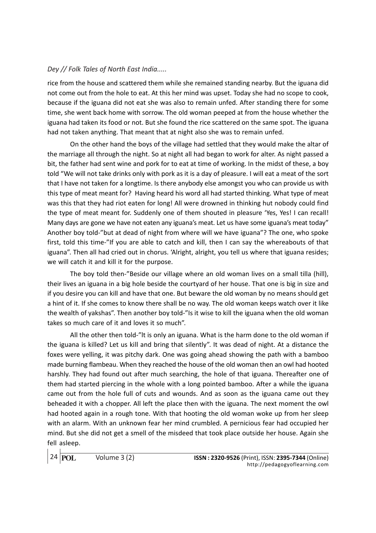rice from the house and scattered them while she remained standing nearby. But the iguana did not come out from the hole to eat. At this her mind was upset. Today she had no scope to cook, because if the iguana did not eat she was also to remain unfed. After standing there for some time, she went back home with sorrow. The old woman peeped at from the house whether the iguana had taken its food or not. But she found the rice scattered on the same spot. The iguana had not taken anything. That meant that at night also she was to remain unfed.

On the other hand the boys of the village had settled that they would make the altar of the marriage all through the night. So at night all had began to work for alter. As night passed a bit, the father had sent wine and pork for to eat at time of working. In the midst of these, a boy told "We will not take drinks only with pork as it is a day of pleasure. I will eat a meat of the sort that I have not taken for a longtime. Is there anybody else amongst you who can provide us with this type of meat meant for? Having heard his word all had started thinking. What type of meat was this that they had riot eaten for long! All were drowned in thinking hut nobody could find the type of meat meant for. Suddenly one of them shouted in pleasure 'Yes, Yes! I can recall! Many days are gone we have not eaten any iguana's meat. Let us have some iguana's meat today" Another boy told-"but at dead of night from where will we have iguana"? The one, who spoke first, told this time-"If you are able to catch and kill, then I can say the whereabouts of that iguana". Then all had cried out in chorus. 'Alright, alright, you tell us where that iguana resides; we will catch it and kill it for the purpose.

The boy told then-"Beside our village where an old woman lives on a small tilla (hill), their lives an iguana in a big hole beside the courtyard of her house. That one is big in size and if you desire you can kill and have that one. But beware the old woman by no means should get a hint of it. If she comes to know there shall be no way. The old woman keeps watch over it like the wealth of yakshas". Then another boy told-"Is it wise to kill the iguana when the old woman takes so much care of it and loves it so much".

All the other then told-"lt is only an iguana. What is the harm done to the old woman if the iguana is killed? Let us kill and bring that silently". It was dead of night. At a distance the foxes were yelling, it was pitchy dark. One was going ahead showing the path with a bamboo made burning flambeau. When they reached the house of the old woman then an owl had hooted harshly. They had found out after much searching, the hole of that iguana. Thereafter one of them had started piercing in the whole with a long pointed bamboo. After a while the iguana came out from the hole full of cuts and wounds. And as soon as the iguana came out they beheaded it with a chopper. All left the place then with the iguana. The next moment the owl had hooted again in a rough tone. With that hooting the old woman woke up from her sleep with an alarm. With an unknown fear her mind crumbled. A pernicious fear had occupied her mind. But she did not get a smell of the misdeed that took place outside her house. Again she fell asleep.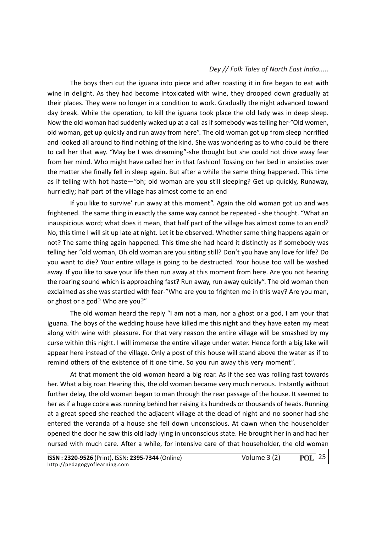The boys then cut the iguana into piece and after roasting it in fire began to eat with wine in delight. As they had become intoxicated with wine, they drooped down gradually at their places. They were no longer in a condition to work. Gradually the night advanced toward day break. While the operation, to kill the iguana took place the old lady was in deep sleep. Now the old woman had suddenly waked up at a call as if somebody was telling her-"Old women, old woman, get up quickly and run away from here". The old woman got up from sleep horrified and looked all around to find nothing of the kind. She was wondering as to who could be there to call her that way. "May be I was dreaming"-she thought but she could not drive away fear from her mind. Who might have called her in that fashion! Tossing on her bed in anxieties over the matter she finally fell in sleep again. But after a while the same thing happened. This time as if telling with hot haste—"oh; old woman are you still sleeping? Get up quickly, Runaway, hurriedly; half part of the village has almost come to an end

If you like to survive' run away at this moment". Again the old woman got up and was frightened. The same thing in exactly the same way cannot be repeated - she thought. "What an inauspicious word; what does it mean, that half part of the village has almost come to an end? No, this time I will sit up late at night. Let it be observed. Whether same thing happens again or not? The same thing again happened. This time she had heard it distinctly as if somebody was telling her "old woman, Oh old woman are you sitting still? Don't you have any love for life? Do you want to die? Your entire village is going to be destructed. Your house too will be washed away. If you like to save your life then run away at this moment from here. Are you not hearing the roaring sound which is approaching fast? Run away, run away quickly". The old woman then exclaimed as she was startled with fear-"Who are you to frighten me in this way? Are you man, or ghost or a god? Who are you?"

The old woman heard the reply "I am not a man, nor a ghost or a god, I am your that iguana. The boys of the wedding house have killed me this night and they have eaten my meat along with wine with pleasure. For that very reason the entire village will be smashed by my curse within this night. I will immerse the entire village under water. Hence forth a big lake will appear here instead of the village. Only a post of this house will stand above the water as if to remind others of the existence of it one time. So you run away this very moment".

At that moment the old woman heard a big roar. As if the sea was rolling fast towards her. What a big roar. Hearing this, the old woman became very much nervous. Instantly without further delay, the old woman began to man through the rear passage of the house. It seemed to her as if a huge cobra was running behind her raising its hundreds or thousands of heads. Running at a great speed she reached the adjacent village at the dead of night and no sooner had she entered the veranda of a house she fell down unconscious. At dawn when the householder opened the door he saw this old lady lying in unconscious state. He brought her in and had her nursed with much care. After a while, for intensive care of that householder, the old woman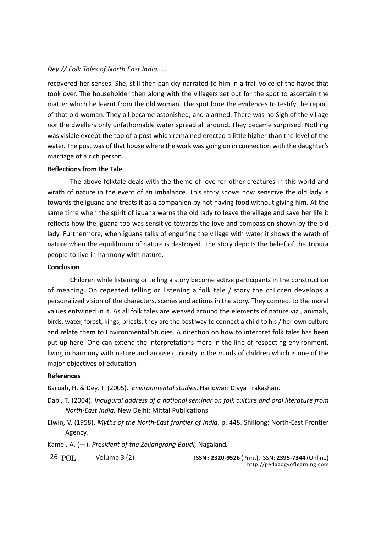recovered her senses. She, still then panicky narrated to him in a frail voice of the havoc that took over. The householder then along with the villagers set out for the spot to ascertain the matter which he learnt from the old woman. The spot bore the evidences to testify the report of that old woman. They all became astonished, and alarmed. There was no Sigh of the village nor the dwellers only unfathomable water spread all around. They became surprised. Nothing was visible except the top of a post which remained erected a little higher than the level of the water. The post was of that house where the work was going on in connection with the daughter's marriage of a rich person.

### Reflections from the Tale

The above folktale deals with the theme of love for other creatures in this world and wrath of nature in the event of an imbalance. This story shows how sensitive the old lady is towards the iguana and treats it as a companion by not having food without giving him. At the same time when the spirit of iguana warns the old lady to leave the village and save her life it reflects how the iguana too was sensitive towards the love and compassion shown by the old lady. Furthermore, when iguana talks of engulfing the village with water it shows the wrath of nature when the equilibrium of nature is destroyed. The story depicts the belief of the Tripura people to live in harmony with nature.

#### Conclusion

Children while listening or telling a story become active participants in the construction of meaning. On repeated telling or listening a folk tale / story the children develops a personalized vision of the characters, scenes and actions in the story. They connect to the moral values entwined in it. As all folk tales are weaved around the elements of nature viz., animals, birds, water, forest, kings, priests, they are the best way to connect a child to his / her own culture and relate them to Environmental Studies. A direction on how to interpret folk tales has been put up here. One can extend the interpretations more in the line of respecting environment, living in harmony with nature and arouse curiosity in the minds of children which is one of the major objectives of education.

# References

Baruah, H. & Dey, T. (2005). Environmental studies. Haridwar: Divya Prakashan.

- Dabi, T. (2004). Inaugural address of a national seminar on folk culture and oral literature from North-East India. New Delhi: Mittal Publications.
- Elwin, V. (1958). Myths of the North-East frontier of India. p. 448. Shillong: North-East Frontier Agency.

Kamei, A.  $(-)$ . President of the Zeliangrong Baudi, Nagaland.